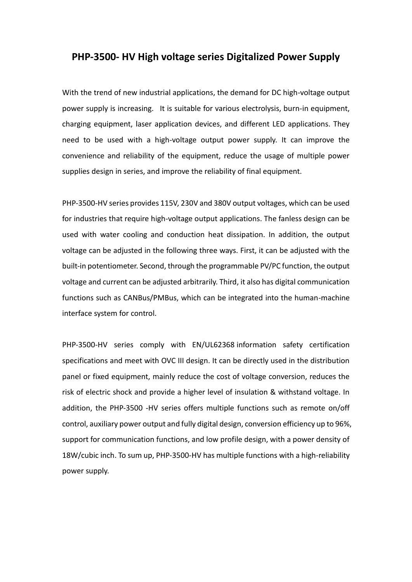## **PHP-3500- HV High voltage series Digitalized Power Supply**

With the trend of new industrial applications, the demand for DC high-voltage output power supply is increasing. It is suitable for various electrolysis, burn-in equipment, charging equipment, laser application devices, and different LED applications. They need to be used with a high-voltage output power supply. It can improve the convenience and reliability of the equipment, reduce the usage of multiple power supplies design in series, and improve the reliability of final equipment.

PHP-3500-HV series provides 115V, 230V and 380V output voltages, which can be used for industries that require high-voltage output applications. The fanless design can be used with water cooling and conduction heat dissipation. In addition, the output voltage can be adjusted in the following three ways. First, it can be adjusted with the built-in potentiometer. Second, through the programmable PV/PC function, the output voltage and current can be adjusted arbitrarily. Third, it also has digital communication functions such as CANBus/PMBus, which can be integrated into the human-machine interface system for control.

PHP-3500-HV series comply with EN/UL62368 information safety certification specifications and meet with OVC III design. It can be directly used in the distribution panel or fixed equipment, mainly reduce the cost of voltage conversion, reduces the risk of electric shock and provide a higher level of insulation & withstand voltage. In addition, the PHP-3500 -HV series offers multiple functions such as remote on/off control, auxiliary power output and fully digital design, conversion efficiency up to 96%, support for communication functions, and low profile design, with a power density of 18W/cubic inch. To sum up, PHP-3500-HV has multiple functions with a high-reliability power supply.